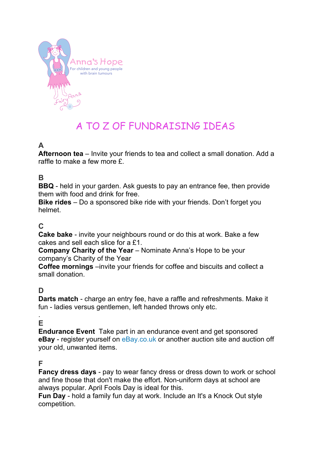

# A TO Z OF FUNDRAISING IDEAS

# **A**

**Afternoon tea** – Invite your friends to tea and collect a small donation. Add a raffle to make a few more £.

#### **B**

**BBQ** - held in your garden. Ask guests to pay an entrance fee, then provide them with food and drink for free.

**Bike rides** – Do a sponsored bike ride with your friends. Don't forget you helmet.

#### **C**

**Cake bake** - invite your neighbours round or do this at work. Bake a few cakes and sell each slice for a £1.

**Company Charity of the Year** – Nominate Anna's Hope to be your company's Charity of the Year

**Coffee mornings** –invite your friends for coffee and biscuits and collect a small donation.

# **D**

**Darts match** - charge an entry fee, have a raffle and refreshments. Make it fun - ladies versus gentlemen, left handed throws only etc.

#### . **E**

**Endurance Event** Take part in an endurance event and get sponsored **eBay** - register yourself on eBay.co.uk or another auction site and auction off your old, unwanted items.

#### **F**

**Fancy dress days** - pay to wear fancy dress or dress down to work or school and fine those that don't make the effort. Non-uniform days at school are always popular. April Fools Day is ideal for this.

**Fun Day** - hold a family fun day at work. Include an It's a Knock Out style competition.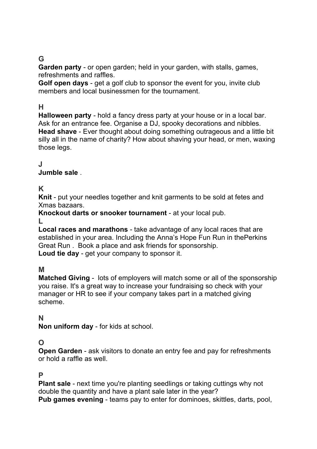# **G**

**Garden party** - or open garden; held in your garden, with stalls, games, refreshments and raffles.

**Golf open days** - get a golf club to sponsor the event for you, invite club members and local businessmen for the tournament.

### **H**

**Halloween party** - hold a fancy dress party at your house or in a local bar. Ask for an entrance fee. Organise a DJ, spooky decorations and nibbles. **Head shave** - Ever thought about doing something outrageous and a little bit silly all in the name of charity? How about shaving your head, or men, waxing those legs.

#### **J**

#### **Jumble sale** .

#### **K**

**Knit** - put your needles together and knit garments to be sold at fetes and Xmas bazaars.

**Knockout darts or snooker tournament** - at your local pub.

#### **L**

**Local races and marathons** - take advantage of any local races that are established in your area. Including the Anna's Hope Fun Run in thePerkins Great Run . Book a place and ask friends for sponsorship.

**Loud tie day** - get your company to sponsor it.

#### **M**

**Matched Giving** - lots of employers will match some or all of the sponsorship you raise. It's a great way to increase your fundraising so check with your manager or HR to see if your company takes part in a matched giving scheme.

#### **N**

**Non uniform day** - for kids at school.

#### **O**

**Open Garden** - ask visitors to donate an entry fee and pay for refreshments or hold a raffle as well.

#### **P**

**Plant sale** - next time you're planting seedlings or taking cuttings why not double the quantity and have a plant sale later in the year?

**Pub games evening** - teams pay to enter for dominoes, skittles, darts, pool,